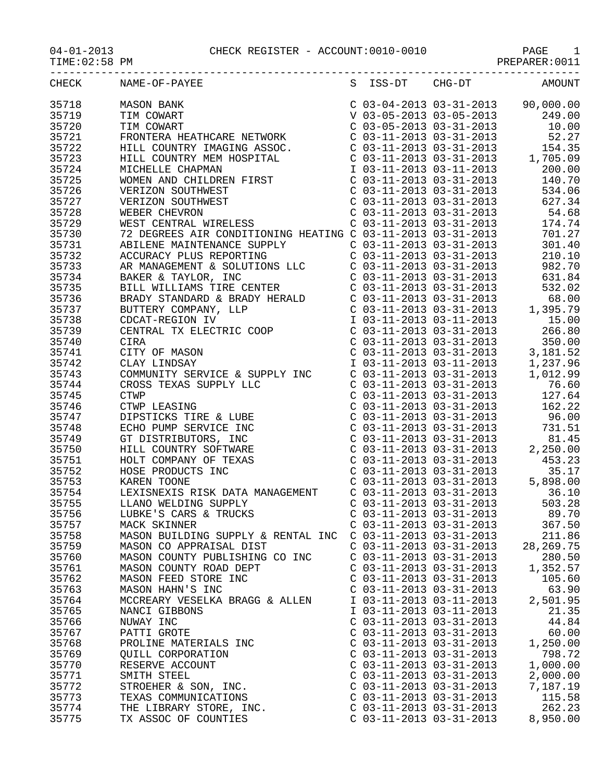PREPARER:0011

|       | CHECK NAME-OF-PAYEE<br>$\begin{tabular}{cccc} \multicolumn{1}{c}{\textbf{RAME}-OF-TRATE} & \multicolumn{1}{c}{\textbf{RAME}-OF-TRATE} & \multicolumn{1}{c}{\textbf{S-S-D}} & \multicolumn{1}{c}{\textbf{S-S-D}} & \multicolumn{1}{c}{\textbf{S-S-D}} & \multicolumn{1}{c}{\textbf{S-S-D}} & \multicolumn{1}{c}{\textbf{S-S-D}} & \multicolumn{1}{c}{\textbf{S-S-D}} & \multicolumn{1}{c}{\textbf{S-S-D}} & \multicolumn{1}{c}{\textbf{S-S-D}} & \multicolumn{1}{c}{\textbf{S-S-D}} & \multicolumn$ |                           |                           | S ISS-DT CHG-DT AMOUNT |
|-------|----------------------------------------------------------------------------------------------------------------------------------------------------------------------------------------------------------------------------------------------------------------------------------------------------------------------------------------------------------------------------------------------------------------------------------------------------------------------------------------------------|---------------------------|---------------------------|------------------------|
| 35718 |                                                                                                                                                                                                                                                                                                                                                                                                                                                                                                    |                           |                           |                        |
| 35719 |                                                                                                                                                                                                                                                                                                                                                                                                                                                                                                    |                           |                           |                        |
| 35720 |                                                                                                                                                                                                                                                                                                                                                                                                                                                                                                    |                           |                           |                        |
| 35721 |                                                                                                                                                                                                                                                                                                                                                                                                                                                                                                    |                           |                           |                        |
|       |                                                                                                                                                                                                                                                                                                                                                                                                                                                                                                    |                           |                           |                        |
| 35722 |                                                                                                                                                                                                                                                                                                                                                                                                                                                                                                    |                           |                           |                        |
| 35723 |                                                                                                                                                                                                                                                                                                                                                                                                                                                                                                    |                           |                           |                        |
| 35724 |                                                                                                                                                                                                                                                                                                                                                                                                                                                                                                    |                           |                           |                        |
| 35725 |                                                                                                                                                                                                                                                                                                                                                                                                                                                                                                    |                           |                           |                        |
| 35726 |                                                                                                                                                                                                                                                                                                                                                                                                                                                                                                    |                           |                           |                        |
| 35727 |                                                                                                                                                                                                                                                                                                                                                                                                                                                                                                    |                           |                           |                        |
| 35728 |                                                                                                                                                                                                                                                                                                                                                                                                                                                                                                    |                           |                           |                        |
| 35729 |                                                                                                                                                                                                                                                                                                                                                                                                                                                                                                    |                           |                           |                        |
| 35730 |                                                                                                                                                                                                                                                                                                                                                                                                                                                                                                    |                           |                           |                        |
| 35731 |                                                                                                                                                                                                                                                                                                                                                                                                                                                                                                    |                           |                           |                        |
| 35732 |                                                                                                                                                                                                                                                                                                                                                                                                                                                                                                    |                           |                           |                        |
| 35733 |                                                                                                                                                                                                                                                                                                                                                                                                                                                                                                    |                           |                           |                        |
|       |                                                                                                                                                                                                                                                                                                                                                                                                                                                                                                    |                           |                           |                        |
| 35734 |                                                                                                                                                                                                                                                                                                                                                                                                                                                                                                    |                           |                           |                        |
| 35735 |                                                                                                                                                                                                                                                                                                                                                                                                                                                                                                    |                           |                           |                        |
| 35736 |                                                                                                                                                                                                                                                                                                                                                                                                                                                                                                    |                           |                           |                        |
| 35737 |                                                                                                                                                                                                                                                                                                                                                                                                                                                                                                    |                           |                           |                        |
| 35738 |                                                                                                                                                                                                                                                                                                                                                                                                                                                                                                    |                           |                           |                        |
| 35739 |                                                                                                                                                                                                                                                                                                                                                                                                                                                                                                    |                           |                           |                        |
| 35740 |                                                                                                                                                                                                                                                                                                                                                                                                                                                                                                    |                           |                           |                        |
| 35741 |                                                                                                                                                                                                                                                                                                                                                                                                                                                                                                    |                           |                           |                        |
| 35742 |                                                                                                                                                                                                                                                                                                                                                                                                                                                                                                    |                           |                           |                        |
| 35743 |                                                                                                                                                                                                                                                                                                                                                                                                                                                                                                    |                           |                           |                        |
| 35744 |                                                                                                                                                                                                                                                                                                                                                                                                                                                                                                    |                           |                           |                        |
| 35745 |                                                                                                                                                                                                                                                                                                                                                                                                                                                                                                    |                           |                           |                        |
| 35746 |                                                                                                                                                                                                                                                                                                                                                                                                                                                                                                    |                           |                           |                        |
| 35747 |                                                                                                                                                                                                                                                                                                                                                                                                                                                                                                    |                           |                           |                        |
|       |                                                                                                                                                                                                                                                                                                                                                                                                                                                                                                    |                           |                           |                        |
| 35748 |                                                                                                                                                                                                                                                                                                                                                                                                                                                                                                    |                           |                           |                        |
| 35749 |                                                                                                                                                                                                                                                                                                                                                                                                                                                                                                    |                           |                           |                        |
| 35750 |                                                                                                                                                                                                                                                                                                                                                                                                                                                                                                    |                           |                           |                        |
| 35751 |                                                                                                                                                                                                                                                                                                                                                                                                                                                                                                    |                           |                           |                        |
| 35752 |                                                                                                                                                                                                                                                                                                                                                                                                                                                                                                    |                           |                           |                        |
| 35753 |                                                                                                                                                                                                                                                                                                                                                                                                                                                                                                    |                           |                           |                        |
| 35754 |                                                                                                                                                                                                                                                                                                                                                                                                                                                                                                    |                           |                           |                        |
| 35755 |                                                                                                                                                                                                                                                                                                                                                                                                                                                                                                    |                           |                           |                        |
| 35756 | LUBKE'S CARS & TRUCKS                                                                                                                                                                                                                                                                                                                                                                                                                                                                              |                           | $C$ 03-11-2013 03-31-2013 | 89.70                  |
| 35757 | MACK SKINNER                                                                                                                                                                                                                                                                                                                                                                                                                                                                                       | $C$ 03-11-2013 03-31-2013 |                           | 367.50                 |
| 35758 | MASON BUILDING SUPPLY & RENTAL INC                                                                                                                                                                                                                                                                                                                                                                                                                                                                 | $C$ 03-11-2013 03-31-2013 |                           | 211.86                 |
| 35759 | MASON CO APPRAISAL DIST                                                                                                                                                                                                                                                                                                                                                                                                                                                                            | $C$ 03-11-2013 03-31-2013 |                           | 28, 269. 75            |
| 35760 | MASON COUNTY PUBLISHING CO INC                                                                                                                                                                                                                                                                                                                                                                                                                                                                     | $C$ 03-11-2013 03-31-2013 |                           | 280.50                 |
| 35761 | MASON COUNTY ROAD DEPT                                                                                                                                                                                                                                                                                                                                                                                                                                                                             | $C$ 03-11-2013 03-31-2013 |                           | 1,352.57               |
| 35762 | MASON FEED STORE INC                                                                                                                                                                                                                                                                                                                                                                                                                                                                               | $C$ 03-11-2013 03-31-2013 |                           | 105.60                 |
|       |                                                                                                                                                                                                                                                                                                                                                                                                                                                                                                    | $C$ 03-11-2013 03-31-2013 |                           | 63.90                  |
| 35763 | MASON HAHN'S INC                                                                                                                                                                                                                                                                                                                                                                                                                                                                                   |                           |                           |                        |
| 35764 | MCCREARY VESELKA BRAGG & ALLEN                                                                                                                                                                                                                                                                                                                                                                                                                                                                     | I 03-11-2013 03-11-2013   |                           | 2,501.95               |
| 35765 | NANCI GIBBONS                                                                                                                                                                                                                                                                                                                                                                                                                                                                                      | I 03-11-2013 03-11-2013   |                           | 21.35                  |
| 35766 | NUWAY INC                                                                                                                                                                                                                                                                                                                                                                                                                                                                                          | $C$ 03-11-2013 03-31-2013 |                           | 44.84                  |
| 35767 | PATTI GROTE                                                                                                                                                                                                                                                                                                                                                                                                                                                                                        | C 03-11-2013 03-31-2013   |                           | 60.00                  |
| 35768 | PROLINE MATERIALS INC                                                                                                                                                                                                                                                                                                                                                                                                                                                                              | $C$ 03-11-2013 03-31-2013 |                           | 1,250.00               |
| 35769 | QUILL CORPORATION                                                                                                                                                                                                                                                                                                                                                                                                                                                                                  | $C$ 03-11-2013 03-31-2013 |                           | 798.72                 |
| 35770 | RESERVE ACCOUNT                                                                                                                                                                                                                                                                                                                                                                                                                                                                                    | $C$ 03-11-2013 03-31-2013 |                           | 1,000.00               |
| 35771 | SMITH STEEL                                                                                                                                                                                                                                                                                                                                                                                                                                                                                        | $C$ 03-11-2013 03-31-2013 |                           | 2,000.00               |
| 35772 | STROEHER & SON, INC.                                                                                                                                                                                                                                                                                                                                                                                                                                                                               | $C$ 03-11-2013 03-31-2013 |                           | 7,187.19               |
| 35773 | TEXAS COMMUNICATIONS                                                                                                                                                                                                                                                                                                                                                                                                                                                                               | $C$ 03-11-2013 03-31-2013 |                           | 115.58                 |
| 35774 | THE LIBRARY STORE, INC.                                                                                                                                                                                                                                                                                                                                                                                                                                                                            | $C$ 03-11-2013 03-31-2013 |                           | 262.23                 |
|       |                                                                                                                                                                                                                                                                                                                                                                                                                                                                                                    |                           |                           |                        |

35775 TX ASSOC OF COUNTIES C 03-11-2013 03-31-2013 8,950.00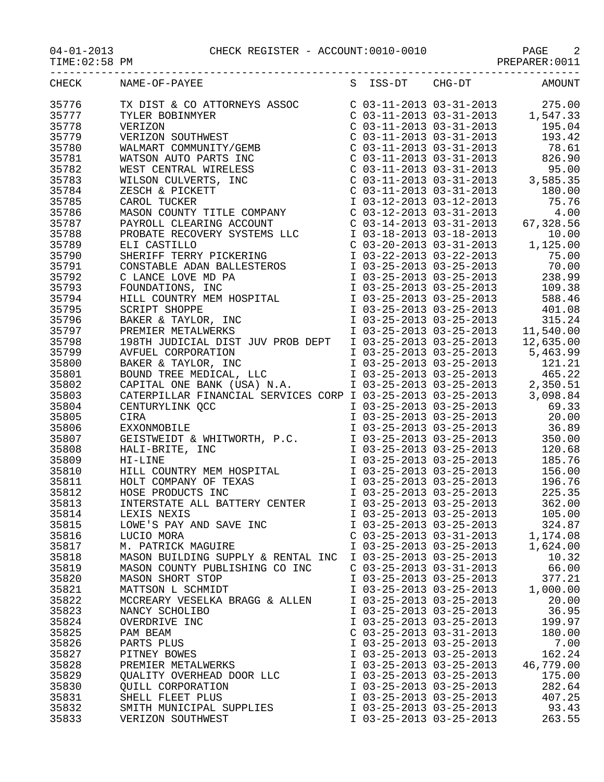04-01-2013 CHECK REGISTER - ACCOUNT:0010-0010 PAGE 2

| CHECK<br>S ISS-DT CHG-DT AMOUNT<br>NAME-OF-PAYEE<br>$\begin{tabular}{lllllllllll} $\text{C}$& 03-11-2013 & 03-31-2013 & 275.00 \\ $\text{C}$& 03-11-2013 & 03-31-2013 & 1,547.33 \\ $\text{C}$& 03-11-2013 & 03-31-2013 & 195.04 \\ $\text{C}$& 03-11-2013 & 03-31-2013 & 193.42 \\ $\text{C}$& 03-11-2013 & 03-31-2013 & 78.61 \\ $\text{C}$& 03-11-201$<br>TX DIST & CO ATTORNEYS ASSOC<br>TYLER BOBINMYER<br>VERIZON<br>VERIZON SOUTHWEST<br>WALMART COMMUNITY/GEMB<br>WATSON AUTO PARTS INC<br>WEST CENTRAL WIRELESS<br>WILSON CULVERTS, INC<br>ZESCH & PICKETT<br>CAROL TUCKER<br>MASON COUNTY TITLE COMPANY<br>PAYROLL<br>35776<br>35777<br>35778<br>35779<br>35780<br>35781<br>35782<br>35783<br>35784<br>35785<br>35786<br>35787<br>35788<br>35789<br>35790<br>35791<br>35792<br>35793<br>35794<br>35795<br>35796<br>35797<br>35798<br>35799<br>35800<br>35801<br>35802<br>35803<br>35804<br>CENTURYLINK QCC<br>CIRA<br>EXXONMOBILE<br>GEISTWEIDT & WHITWORTH, P.C.<br>HALI-BRITE, INC<br>HI-LINE<br>35805<br>I 03-25-2013 03-25-2013 350.00<br>120.68 120.68 120.68<br>1 03-25-2013 03-25-2013<br>1 03-25-2013 03-25-2013<br>1 03-25-2013 03-25-2013<br>1 03-25-2013 03-25-2013<br>1 03-25-2013 03-25-2013<br>1 03-25-2013<br>225.35<br>HI-LINE<br>HILL COUNTRY MEM HOSPITAL<br>HOLT COMPANY OF TEXAS<br>HOSE PRODUCTS INC<br>INTERSTATE ALL BATTERY CENTER<br>I 03-25-2013 03-25-2013<br>362.00<br>105.00<br>I 03-25-2013 03-25-2013<br>35814<br>LEXIS NEXIS<br>LOWE'S PAY AND SAVE INC<br>I 03-25-2013 03-25-2013<br>324.87<br>$C$ 03-25-2013 03-31-2013<br>1,174.08<br>LUCIO MORA<br>I 03-25-2013 03-25-2013<br>1,624.00<br>M. PATRICK MAGUIRE<br>I 03-25-2013 03-25-2013<br>MASON BUILDING SUPPLY & RENTAL INC<br>10.32<br>35819<br>$C$ 03-25-2013 03-31-2013<br>66.00<br>MASON COUNTY PUBLISHING CO INC<br>35820<br>I 03-25-2013 03-25-2013<br>377.21<br>MASON SHORT STOP<br>35821<br>MATTSON L SCHMIDT<br>I 03-25-2013 03-25-2013<br>1,000.00<br>20.00<br>35822<br>I 03-25-2013 03-25-2013<br>MCCREARY VESELKA BRAGG & ALLEN<br>36.95<br>35823<br>I 03-25-2013 03-25-2013<br>NANCY SCHOLIBO<br>35824<br>I 03-25-2013 03-25-2013<br>199.97<br>OVERDRIVE INC<br>35825<br>$C$ 03-25-2013 03-31-2013<br>180.00<br>PAM BEAM<br>35826<br>I 03-25-2013 03-25-2013<br>PARTS PLUS<br>7.00<br>162.24<br>35827<br>I 03-25-2013 03-25-2013<br>PITNEY BOWES<br>35828<br>46,779.00<br>PREMIER METALWERKS<br>I 03-25-2013 03-25-2013<br>QUALITY OVERHEAD DOOR LLC<br>35829<br>I 03-25-2013 03-25-2013<br>175.00<br>35830<br>QUILL CORPORATION<br>I 03-25-2013 03-25-2013<br>282.64<br>35831<br>SHELL FLEET PLUS<br>I 03-25-2013 03-25-2013<br>407.25<br>35832<br>I 03-25-2013 03-25-2013<br>93.43<br>SMITH MUNICIPAL SUPPLIES<br>35833<br>I 03-25-2013 03-25-2013<br>263.55<br>VERIZON SOUTHWEST |       |  |  |  |
|--------------------------------------------------------------------------------------------------------------------------------------------------------------------------------------------------------------------------------------------------------------------------------------------------------------------------------------------------------------------------------------------------------------------------------------------------------------------------------------------------------------------------------------------------------------------------------------------------------------------------------------------------------------------------------------------------------------------------------------------------------------------------------------------------------------------------------------------------------------------------------------------------------------------------------------------------------------------------------------------------------------------------------------------------------------------------------------------------------------------------------------------------------------------------------------------------------------------------------------------------------------------------------------------------------------------------------------------------------------------------------------------------------------------------------------------------------------------------------------------------------------------------------------------------------------------------------------------------------------------------------------------------------------------------------------------------------------------------------------------------------------------------------------------------------------------------------------------------------------------------------------------------------------------------------------------------------------------------------------------------------------------------------------------------------------------------------------------------------------------------------------------------------------------------------------------------------------------------------------------------------------------------------------------------------------------------------------------------------------------------------------------------------------------------------------------------------------------------------------------------------------------------------------------------------------------------------------------------------------------------------------------------------------------------------------------------------------------------------------------------------------------------------------------------|-------|--|--|--|
|                                                                                                                                                                                                                                                                                                                                                                                                                                                                                                                                                                                                                                                                                                                                                                                                                                                                                                                                                                                                                                                                                                                                                                                                                                                                                                                                                                                                                                                                                                                                                                                                                                                                                                                                                                                                                                                                                                                                                                                                                                                                                                                                                                                                                                                                                                                                                                                                                                                                                                                                                                                                                                                                                                                                                                                                  |       |  |  |  |
|                                                                                                                                                                                                                                                                                                                                                                                                                                                                                                                                                                                                                                                                                                                                                                                                                                                                                                                                                                                                                                                                                                                                                                                                                                                                                                                                                                                                                                                                                                                                                                                                                                                                                                                                                                                                                                                                                                                                                                                                                                                                                                                                                                                                                                                                                                                                                                                                                                                                                                                                                                                                                                                                                                                                                                                                  |       |  |  |  |
|                                                                                                                                                                                                                                                                                                                                                                                                                                                                                                                                                                                                                                                                                                                                                                                                                                                                                                                                                                                                                                                                                                                                                                                                                                                                                                                                                                                                                                                                                                                                                                                                                                                                                                                                                                                                                                                                                                                                                                                                                                                                                                                                                                                                                                                                                                                                                                                                                                                                                                                                                                                                                                                                                                                                                                                                  |       |  |  |  |
|                                                                                                                                                                                                                                                                                                                                                                                                                                                                                                                                                                                                                                                                                                                                                                                                                                                                                                                                                                                                                                                                                                                                                                                                                                                                                                                                                                                                                                                                                                                                                                                                                                                                                                                                                                                                                                                                                                                                                                                                                                                                                                                                                                                                                                                                                                                                                                                                                                                                                                                                                                                                                                                                                                                                                                                                  |       |  |  |  |
|                                                                                                                                                                                                                                                                                                                                                                                                                                                                                                                                                                                                                                                                                                                                                                                                                                                                                                                                                                                                                                                                                                                                                                                                                                                                                                                                                                                                                                                                                                                                                                                                                                                                                                                                                                                                                                                                                                                                                                                                                                                                                                                                                                                                                                                                                                                                                                                                                                                                                                                                                                                                                                                                                                                                                                                                  |       |  |  |  |
|                                                                                                                                                                                                                                                                                                                                                                                                                                                                                                                                                                                                                                                                                                                                                                                                                                                                                                                                                                                                                                                                                                                                                                                                                                                                                                                                                                                                                                                                                                                                                                                                                                                                                                                                                                                                                                                                                                                                                                                                                                                                                                                                                                                                                                                                                                                                                                                                                                                                                                                                                                                                                                                                                                                                                                                                  |       |  |  |  |
|                                                                                                                                                                                                                                                                                                                                                                                                                                                                                                                                                                                                                                                                                                                                                                                                                                                                                                                                                                                                                                                                                                                                                                                                                                                                                                                                                                                                                                                                                                                                                                                                                                                                                                                                                                                                                                                                                                                                                                                                                                                                                                                                                                                                                                                                                                                                                                                                                                                                                                                                                                                                                                                                                                                                                                                                  |       |  |  |  |
|                                                                                                                                                                                                                                                                                                                                                                                                                                                                                                                                                                                                                                                                                                                                                                                                                                                                                                                                                                                                                                                                                                                                                                                                                                                                                                                                                                                                                                                                                                                                                                                                                                                                                                                                                                                                                                                                                                                                                                                                                                                                                                                                                                                                                                                                                                                                                                                                                                                                                                                                                                                                                                                                                                                                                                                                  |       |  |  |  |
|                                                                                                                                                                                                                                                                                                                                                                                                                                                                                                                                                                                                                                                                                                                                                                                                                                                                                                                                                                                                                                                                                                                                                                                                                                                                                                                                                                                                                                                                                                                                                                                                                                                                                                                                                                                                                                                                                                                                                                                                                                                                                                                                                                                                                                                                                                                                                                                                                                                                                                                                                                                                                                                                                                                                                                                                  |       |  |  |  |
|                                                                                                                                                                                                                                                                                                                                                                                                                                                                                                                                                                                                                                                                                                                                                                                                                                                                                                                                                                                                                                                                                                                                                                                                                                                                                                                                                                                                                                                                                                                                                                                                                                                                                                                                                                                                                                                                                                                                                                                                                                                                                                                                                                                                                                                                                                                                                                                                                                                                                                                                                                                                                                                                                                                                                                                                  |       |  |  |  |
|                                                                                                                                                                                                                                                                                                                                                                                                                                                                                                                                                                                                                                                                                                                                                                                                                                                                                                                                                                                                                                                                                                                                                                                                                                                                                                                                                                                                                                                                                                                                                                                                                                                                                                                                                                                                                                                                                                                                                                                                                                                                                                                                                                                                                                                                                                                                                                                                                                                                                                                                                                                                                                                                                                                                                                                                  |       |  |  |  |
|                                                                                                                                                                                                                                                                                                                                                                                                                                                                                                                                                                                                                                                                                                                                                                                                                                                                                                                                                                                                                                                                                                                                                                                                                                                                                                                                                                                                                                                                                                                                                                                                                                                                                                                                                                                                                                                                                                                                                                                                                                                                                                                                                                                                                                                                                                                                                                                                                                                                                                                                                                                                                                                                                                                                                                                                  |       |  |  |  |
|                                                                                                                                                                                                                                                                                                                                                                                                                                                                                                                                                                                                                                                                                                                                                                                                                                                                                                                                                                                                                                                                                                                                                                                                                                                                                                                                                                                                                                                                                                                                                                                                                                                                                                                                                                                                                                                                                                                                                                                                                                                                                                                                                                                                                                                                                                                                                                                                                                                                                                                                                                                                                                                                                                                                                                                                  |       |  |  |  |
|                                                                                                                                                                                                                                                                                                                                                                                                                                                                                                                                                                                                                                                                                                                                                                                                                                                                                                                                                                                                                                                                                                                                                                                                                                                                                                                                                                                                                                                                                                                                                                                                                                                                                                                                                                                                                                                                                                                                                                                                                                                                                                                                                                                                                                                                                                                                                                                                                                                                                                                                                                                                                                                                                                                                                                                                  |       |  |  |  |
|                                                                                                                                                                                                                                                                                                                                                                                                                                                                                                                                                                                                                                                                                                                                                                                                                                                                                                                                                                                                                                                                                                                                                                                                                                                                                                                                                                                                                                                                                                                                                                                                                                                                                                                                                                                                                                                                                                                                                                                                                                                                                                                                                                                                                                                                                                                                                                                                                                                                                                                                                                                                                                                                                                                                                                                                  |       |  |  |  |
|                                                                                                                                                                                                                                                                                                                                                                                                                                                                                                                                                                                                                                                                                                                                                                                                                                                                                                                                                                                                                                                                                                                                                                                                                                                                                                                                                                                                                                                                                                                                                                                                                                                                                                                                                                                                                                                                                                                                                                                                                                                                                                                                                                                                                                                                                                                                                                                                                                                                                                                                                                                                                                                                                                                                                                                                  |       |  |  |  |
|                                                                                                                                                                                                                                                                                                                                                                                                                                                                                                                                                                                                                                                                                                                                                                                                                                                                                                                                                                                                                                                                                                                                                                                                                                                                                                                                                                                                                                                                                                                                                                                                                                                                                                                                                                                                                                                                                                                                                                                                                                                                                                                                                                                                                                                                                                                                                                                                                                                                                                                                                                                                                                                                                                                                                                                                  |       |  |  |  |
|                                                                                                                                                                                                                                                                                                                                                                                                                                                                                                                                                                                                                                                                                                                                                                                                                                                                                                                                                                                                                                                                                                                                                                                                                                                                                                                                                                                                                                                                                                                                                                                                                                                                                                                                                                                                                                                                                                                                                                                                                                                                                                                                                                                                                                                                                                                                                                                                                                                                                                                                                                                                                                                                                                                                                                                                  |       |  |  |  |
|                                                                                                                                                                                                                                                                                                                                                                                                                                                                                                                                                                                                                                                                                                                                                                                                                                                                                                                                                                                                                                                                                                                                                                                                                                                                                                                                                                                                                                                                                                                                                                                                                                                                                                                                                                                                                                                                                                                                                                                                                                                                                                                                                                                                                                                                                                                                                                                                                                                                                                                                                                                                                                                                                                                                                                                                  |       |  |  |  |
|                                                                                                                                                                                                                                                                                                                                                                                                                                                                                                                                                                                                                                                                                                                                                                                                                                                                                                                                                                                                                                                                                                                                                                                                                                                                                                                                                                                                                                                                                                                                                                                                                                                                                                                                                                                                                                                                                                                                                                                                                                                                                                                                                                                                                                                                                                                                                                                                                                                                                                                                                                                                                                                                                                                                                                                                  |       |  |  |  |
|                                                                                                                                                                                                                                                                                                                                                                                                                                                                                                                                                                                                                                                                                                                                                                                                                                                                                                                                                                                                                                                                                                                                                                                                                                                                                                                                                                                                                                                                                                                                                                                                                                                                                                                                                                                                                                                                                                                                                                                                                                                                                                                                                                                                                                                                                                                                                                                                                                                                                                                                                                                                                                                                                                                                                                                                  |       |  |  |  |
|                                                                                                                                                                                                                                                                                                                                                                                                                                                                                                                                                                                                                                                                                                                                                                                                                                                                                                                                                                                                                                                                                                                                                                                                                                                                                                                                                                                                                                                                                                                                                                                                                                                                                                                                                                                                                                                                                                                                                                                                                                                                                                                                                                                                                                                                                                                                                                                                                                                                                                                                                                                                                                                                                                                                                                                                  |       |  |  |  |
|                                                                                                                                                                                                                                                                                                                                                                                                                                                                                                                                                                                                                                                                                                                                                                                                                                                                                                                                                                                                                                                                                                                                                                                                                                                                                                                                                                                                                                                                                                                                                                                                                                                                                                                                                                                                                                                                                                                                                                                                                                                                                                                                                                                                                                                                                                                                                                                                                                                                                                                                                                                                                                                                                                                                                                                                  |       |  |  |  |
|                                                                                                                                                                                                                                                                                                                                                                                                                                                                                                                                                                                                                                                                                                                                                                                                                                                                                                                                                                                                                                                                                                                                                                                                                                                                                                                                                                                                                                                                                                                                                                                                                                                                                                                                                                                                                                                                                                                                                                                                                                                                                                                                                                                                                                                                                                                                                                                                                                                                                                                                                                                                                                                                                                                                                                                                  |       |  |  |  |
|                                                                                                                                                                                                                                                                                                                                                                                                                                                                                                                                                                                                                                                                                                                                                                                                                                                                                                                                                                                                                                                                                                                                                                                                                                                                                                                                                                                                                                                                                                                                                                                                                                                                                                                                                                                                                                                                                                                                                                                                                                                                                                                                                                                                                                                                                                                                                                                                                                                                                                                                                                                                                                                                                                                                                                                                  |       |  |  |  |
|                                                                                                                                                                                                                                                                                                                                                                                                                                                                                                                                                                                                                                                                                                                                                                                                                                                                                                                                                                                                                                                                                                                                                                                                                                                                                                                                                                                                                                                                                                                                                                                                                                                                                                                                                                                                                                                                                                                                                                                                                                                                                                                                                                                                                                                                                                                                                                                                                                                                                                                                                                                                                                                                                                                                                                                                  |       |  |  |  |
|                                                                                                                                                                                                                                                                                                                                                                                                                                                                                                                                                                                                                                                                                                                                                                                                                                                                                                                                                                                                                                                                                                                                                                                                                                                                                                                                                                                                                                                                                                                                                                                                                                                                                                                                                                                                                                                                                                                                                                                                                                                                                                                                                                                                                                                                                                                                                                                                                                                                                                                                                                                                                                                                                                                                                                                                  |       |  |  |  |
|                                                                                                                                                                                                                                                                                                                                                                                                                                                                                                                                                                                                                                                                                                                                                                                                                                                                                                                                                                                                                                                                                                                                                                                                                                                                                                                                                                                                                                                                                                                                                                                                                                                                                                                                                                                                                                                                                                                                                                                                                                                                                                                                                                                                                                                                                                                                                                                                                                                                                                                                                                                                                                                                                                                                                                                                  |       |  |  |  |
|                                                                                                                                                                                                                                                                                                                                                                                                                                                                                                                                                                                                                                                                                                                                                                                                                                                                                                                                                                                                                                                                                                                                                                                                                                                                                                                                                                                                                                                                                                                                                                                                                                                                                                                                                                                                                                                                                                                                                                                                                                                                                                                                                                                                                                                                                                                                                                                                                                                                                                                                                                                                                                                                                                                                                                                                  |       |  |  |  |
|                                                                                                                                                                                                                                                                                                                                                                                                                                                                                                                                                                                                                                                                                                                                                                                                                                                                                                                                                                                                                                                                                                                                                                                                                                                                                                                                                                                                                                                                                                                                                                                                                                                                                                                                                                                                                                                                                                                                                                                                                                                                                                                                                                                                                                                                                                                                                                                                                                                                                                                                                                                                                                                                                                                                                                                                  |       |  |  |  |
|                                                                                                                                                                                                                                                                                                                                                                                                                                                                                                                                                                                                                                                                                                                                                                                                                                                                                                                                                                                                                                                                                                                                                                                                                                                                                                                                                                                                                                                                                                                                                                                                                                                                                                                                                                                                                                                                                                                                                                                                                                                                                                                                                                                                                                                                                                                                                                                                                                                                                                                                                                                                                                                                                                                                                                                                  |       |  |  |  |
|                                                                                                                                                                                                                                                                                                                                                                                                                                                                                                                                                                                                                                                                                                                                                                                                                                                                                                                                                                                                                                                                                                                                                                                                                                                                                                                                                                                                                                                                                                                                                                                                                                                                                                                                                                                                                                                                                                                                                                                                                                                                                                                                                                                                                                                                                                                                                                                                                                                                                                                                                                                                                                                                                                                                                                                                  |       |  |  |  |
|                                                                                                                                                                                                                                                                                                                                                                                                                                                                                                                                                                                                                                                                                                                                                                                                                                                                                                                                                                                                                                                                                                                                                                                                                                                                                                                                                                                                                                                                                                                                                                                                                                                                                                                                                                                                                                                                                                                                                                                                                                                                                                                                                                                                                                                                                                                                                                                                                                                                                                                                                                                                                                                                                                                                                                                                  | 35806 |  |  |  |
|                                                                                                                                                                                                                                                                                                                                                                                                                                                                                                                                                                                                                                                                                                                                                                                                                                                                                                                                                                                                                                                                                                                                                                                                                                                                                                                                                                                                                                                                                                                                                                                                                                                                                                                                                                                                                                                                                                                                                                                                                                                                                                                                                                                                                                                                                                                                                                                                                                                                                                                                                                                                                                                                                                                                                                                                  | 35807 |  |  |  |
|                                                                                                                                                                                                                                                                                                                                                                                                                                                                                                                                                                                                                                                                                                                                                                                                                                                                                                                                                                                                                                                                                                                                                                                                                                                                                                                                                                                                                                                                                                                                                                                                                                                                                                                                                                                                                                                                                                                                                                                                                                                                                                                                                                                                                                                                                                                                                                                                                                                                                                                                                                                                                                                                                                                                                                                                  | 35808 |  |  |  |
|                                                                                                                                                                                                                                                                                                                                                                                                                                                                                                                                                                                                                                                                                                                                                                                                                                                                                                                                                                                                                                                                                                                                                                                                                                                                                                                                                                                                                                                                                                                                                                                                                                                                                                                                                                                                                                                                                                                                                                                                                                                                                                                                                                                                                                                                                                                                                                                                                                                                                                                                                                                                                                                                                                                                                                                                  | 35809 |  |  |  |
|                                                                                                                                                                                                                                                                                                                                                                                                                                                                                                                                                                                                                                                                                                                                                                                                                                                                                                                                                                                                                                                                                                                                                                                                                                                                                                                                                                                                                                                                                                                                                                                                                                                                                                                                                                                                                                                                                                                                                                                                                                                                                                                                                                                                                                                                                                                                                                                                                                                                                                                                                                                                                                                                                                                                                                                                  | 35810 |  |  |  |
|                                                                                                                                                                                                                                                                                                                                                                                                                                                                                                                                                                                                                                                                                                                                                                                                                                                                                                                                                                                                                                                                                                                                                                                                                                                                                                                                                                                                                                                                                                                                                                                                                                                                                                                                                                                                                                                                                                                                                                                                                                                                                                                                                                                                                                                                                                                                                                                                                                                                                                                                                                                                                                                                                                                                                                                                  | 35811 |  |  |  |
|                                                                                                                                                                                                                                                                                                                                                                                                                                                                                                                                                                                                                                                                                                                                                                                                                                                                                                                                                                                                                                                                                                                                                                                                                                                                                                                                                                                                                                                                                                                                                                                                                                                                                                                                                                                                                                                                                                                                                                                                                                                                                                                                                                                                                                                                                                                                                                                                                                                                                                                                                                                                                                                                                                                                                                                                  | 35812 |  |  |  |
|                                                                                                                                                                                                                                                                                                                                                                                                                                                                                                                                                                                                                                                                                                                                                                                                                                                                                                                                                                                                                                                                                                                                                                                                                                                                                                                                                                                                                                                                                                                                                                                                                                                                                                                                                                                                                                                                                                                                                                                                                                                                                                                                                                                                                                                                                                                                                                                                                                                                                                                                                                                                                                                                                                                                                                                                  | 35813 |  |  |  |
|                                                                                                                                                                                                                                                                                                                                                                                                                                                                                                                                                                                                                                                                                                                                                                                                                                                                                                                                                                                                                                                                                                                                                                                                                                                                                                                                                                                                                                                                                                                                                                                                                                                                                                                                                                                                                                                                                                                                                                                                                                                                                                                                                                                                                                                                                                                                                                                                                                                                                                                                                                                                                                                                                                                                                                                                  |       |  |  |  |
|                                                                                                                                                                                                                                                                                                                                                                                                                                                                                                                                                                                                                                                                                                                                                                                                                                                                                                                                                                                                                                                                                                                                                                                                                                                                                                                                                                                                                                                                                                                                                                                                                                                                                                                                                                                                                                                                                                                                                                                                                                                                                                                                                                                                                                                                                                                                                                                                                                                                                                                                                                                                                                                                                                                                                                                                  | 35815 |  |  |  |
|                                                                                                                                                                                                                                                                                                                                                                                                                                                                                                                                                                                                                                                                                                                                                                                                                                                                                                                                                                                                                                                                                                                                                                                                                                                                                                                                                                                                                                                                                                                                                                                                                                                                                                                                                                                                                                                                                                                                                                                                                                                                                                                                                                                                                                                                                                                                                                                                                                                                                                                                                                                                                                                                                                                                                                                                  | 35816 |  |  |  |
|                                                                                                                                                                                                                                                                                                                                                                                                                                                                                                                                                                                                                                                                                                                                                                                                                                                                                                                                                                                                                                                                                                                                                                                                                                                                                                                                                                                                                                                                                                                                                                                                                                                                                                                                                                                                                                                                                                                                                                                                                                                                                                                                                                                                                                                                                                                                                                                                                                                                                                                                                                                                                                                                                                                                                                                                  | 35817 |  |  |  |
|                                                                                                                                                                                                                                                                                                                                                                                                                                                                                                                                                                                                                                                                                                                                                                                                                                                                                                                                                                                                                                                                                                                                                                                                                                                                                                                                                                                                                                                                                                                                                                                                                                                                                                                                                                                                                                                                                                                                                                                                                                                                                                                                                                                                                                                                                                                                                                                                                                                                                                                                                                                                                                                                                                                                                                                                  | 35818 |  |  |  |
|                                                                                                                                                                                                                                                                                                                                                                                                                                                                                                                                                                                                                                                                                                                                                                                                                                                                                                                                                                                                                                                                                                                                                                                                                                                                                                                                                                                                                                                                                                                                                                                                                                                                                                                                                                                                                                                                                                                                                                                                                                                                                                                                                                                                                                                                                                                                                                                                                                                                                                                                                                                                                                                                                                                                                                                                  |       |  |  |  |
|                                                                                                                                                                                                                                                                                                                                                                                                                                                                                                                                                                                                                                                                                                                                                                                                                                                                                                                                                                                                                                                                                                                                                                                                                                                                                                                                                                                                                                                                                                                                                                                                                                                                                                                                                                                                                                                                                                                                                                                                                                                                                                                                                                                                                                                                                                                                                                                                                                                                                                                                                                                                                                                                                                                                                                                                  |       |  |  |  |
|                                                                                                                                                                                                                                                                                                                                                                                                                                                                                                                                                                                                                                                                                                                                                                                                                                                                                                                                                                                                                                                                                                                                                                                                                                                                                                                                                                                                                                                                                                                                                                                                                                                                                                                                                                                                                                                                                                                                                                                                                                                                                                                                                                                                                                                                                                                                                                                                                                                                                                                                                                                                                                                                                                                                                                                                  |       |  |  |  |
|                                                                                                                                                                                                                                                                                                                                                                                                                                                                                                                                                                                                                                                                                                                                                                                                                                                                                                                                                                                                                                                                                                                                                                                                                                                                                                                                                                                                                                                                                                                                                                                                                                                                                                                                                                                                                                                                                                                                                                                                                                                                                                                                                                                                                                                                                                                                                                                                                                                                                                                                                                                                                                                                                                                                                                                                  |       |  |  |  |
|                                                                                                                                                                                                                                                                                                                                                                                                                                                                                                                                                                                                                                                                                                                                                                                                                                                                                                                                                                                                                                                                                                                                                                                                                                                                                                                                                                                                                                                                                                                                                                                                                                                                                                                                                                                                                                                                                                                                                                                                                                                                                                                                                                                                                                                                                                                                                                                                                                                                                                                                                                                                                                                                                                                                                                                                  |       |  |  |  |
|                                                                                                                                                                                                                                                                                                                                                                                                                                                                                                                                                                                                                                                                                                                                                                                                                                                                                                                                                                                                                                                                                                                                                                                                                                                                                                                                                                                                                                                                                                                                                                                                                                                                                                                                                                                                                                                                                                                                                                                                                                                                                                                                                                                                                                                                                                                                                                                                                                                                                                                                                                                                                                                                                                                                                                                                  |       |  |  |  |
|                                                                                                                                                                                                                                                                                                                                                                                                                                                                                                                                                                                                                                                                                                                                                                                                                                                                                                                                                                                                                                                                                                                                                                                                                                                                                                                                                                                                                                                                                                                                                                                                                                                                                                                                                                                                                                                                                                                                                                                                                                                                                                                                                                                                                                                                                                                                                                                                                                                                                                                                                                                                                                                                                                                                                                                                  |       |  |  |  |
|                                                                                                                                                                                                                                                                                                                                                                                                                                                                                                                                                                                                                                                                                                                                                                                                                                                                                                                                                                                                                                                                                                                                                                                                                                                                                                                                                                                                                                                                                                                                                                                                                                                                                                                                                                                                                                                                                                                                                                                                                                                                                                                                                                                                                                                                                                                                                                                                                                                                                                                                                                                                                                                                                                                                                                                                  |       |  |  |  |
|                                                                                                                                                                                                                                                                                                                                                                                                                                                                                                                                                                                                                                                                                                                                                                                                                                                                                                                                                                                                                                                                                                                                                                                                                                                                                                                                                                                                                                                                                                                                                                                                                                                                                                                                                                                                                                                                                                                                                                                                                                                                                                                                                                                                                                                                                                                                                                                                                                                                                                                                                                                                                                                                                                                                                                                                  |       |  |  |  |
|                                                                                                                                                                                                                                                                                                                                                                                                                                                                                                                                                                                                                                                                                                                                                                                                                                                                                                                                                                                                                                                                                                                                                                                                                                                                                                                                                                                                                                                                                                                                                                                                                                                                                                                                                                                                                                                                                                                                                                                                                                                                                                                                                                                                                                                                                                                                                                                                                                                                                                                                                                                                                                                                                                                                                                                                  |       |  |  |  |
|                                                                                                                                                                                                                                                                                                                                                                                                                                                                                                                                                                                                                                                                                                                                                                                                                                                                                                                                                                                                                                                                                                                                                                                                                                                                                                                                                                                                                                                                                                                                                                                                                                                                                                                                                                                                                                                                                                                                                                                                                                                                                                                                                                                                                                                                                                                                                                                                                                                                                                                                                                                                                                                                                                                                                                                                  |       |  |  |  |
|                                                                                                                                                                                                                                                                                                                                                                                                                                                                                                                                                                                                                                                                                                                                                                                                                                                                                                                                                                                                                                                                                                                                                                                                                                                                                                                                                                                                                                                                                                                                                                                                                                                                                                                                                                                                                                                                                                                                                                                                                                                                                                                                                                                                                                                                                                                                                                                                                                                                                                                                                                                                                                                                                                                                                                                                  |       |  |  |  |
|                                                                                                                                                                                                                                                                                                                                                                                                                                                                                                                                                                                                                                                                                                                                                                                                                                                                                                                                                                                                                                                                                                                                                                                                                                                                                                                                                                                                                                                                                                                                                                                                                                                                                                                                                                                                                                                                                                                                                                                                                                                                                                                                                                                                                                                                                                                                                                                                                                                                                                                                                                                                                                                                                                                                                                                                  |       |  |  |  |
|                                                                                                                                                                                                                                                                                                                                                                                                                                                                                                                                                                                                                                                                                                                                                                                                                                                                                                                                                                                                                                                                                                                                                                                                                                                                                                                                                                                                                                                                                                                                                                                                                                                                                                                                                                                                                                                                                                                                                                                                                                                                                                                                                                                                                                                                                                                                                                                                                                                                                                                                                                                                                                                                                                                                                                                                  |       |  |  |  |
|                                                                                                                                                                                                                                                                                                                                                                                                                                                                                                                                                                                                                                                                                                                                                                                                                                                                                                                                                                                                                                                                                                                                                                                                                                                                                                                                                                                                                                                                                                                                                                                                                                                                                                                                                                                                                                                                                                                                                                                                                                                                                                                                                                                                                                                                                                                                                                                                                                                                                                                                                                                                                                                                                                                                                                                                  |       |  |  |  |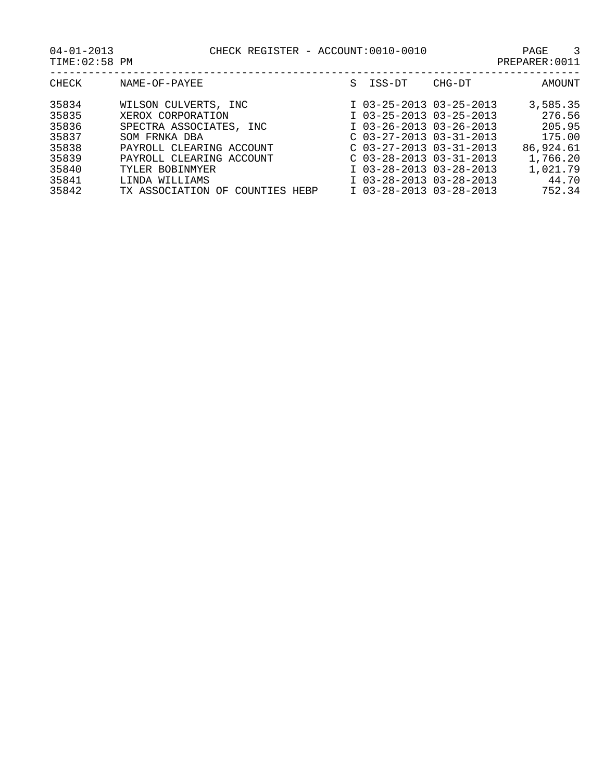CHECK REGISTER - ACCOUNT:0010-0010 PAGE 3

| $04 - 01 - 2013$    |  |
|---------------------|--|
| $m + m + n - n - n$ |  |

| TIME: 02:58 PM | PREPARER: 0011 |
|----------------|----------------|
|----------------|----------------|

| CHECK | NAME-OF-PAYEE                      | S. | ISS-DT                    | CHG-DT | AMOUNT    |
|-------|------------------------------------|----|---------------------------|--------|-----------|
| 35834 | WILSON CULVERTS, INC               |    | I 03-25-2013 03-25-2013   |        | 3,585.35  |
| 35835 | XEROX CORPORATION                  |    | I 03-25-2013 03-25-2013   |        | 276.56    |
| 35836 | SPECTRA ASSOCIATES, INC            |    | $I$ 03-26-2013 03-26-2013 |        | 205.95    |
| 35837 | SOM FRNKA DBA                      |    | $C$ 03-27-2013 03-31-2013 |        | 175.00    |
| 35838 | PAYROLL CLEARING ACCOUNT           |    | $C$ 03-27-2013 03-31-2013 |        | 86,924.61 |
| 35839 | PAYROLL CLEARING ACCOUNT           |    | $C$ 03-28-2013 03-31-2013 |        | 1,766.20  |
| 35840 | TYLER BOBINMYER                    |    | I 03-28-2013 03-28-2013   |        | 1,021.79  |
| 35841 | LINDA WILLIAMS                     |    | I 03-28-2013 03-28-2013   |        | 44.70     |
| 35842 | TX ASSOCIATION OF<br>COUNTIES HEBP |    | I 03-28-2013 03-28-2013   |        | 752.34    |
|       |                                    |    |                           |        |           |